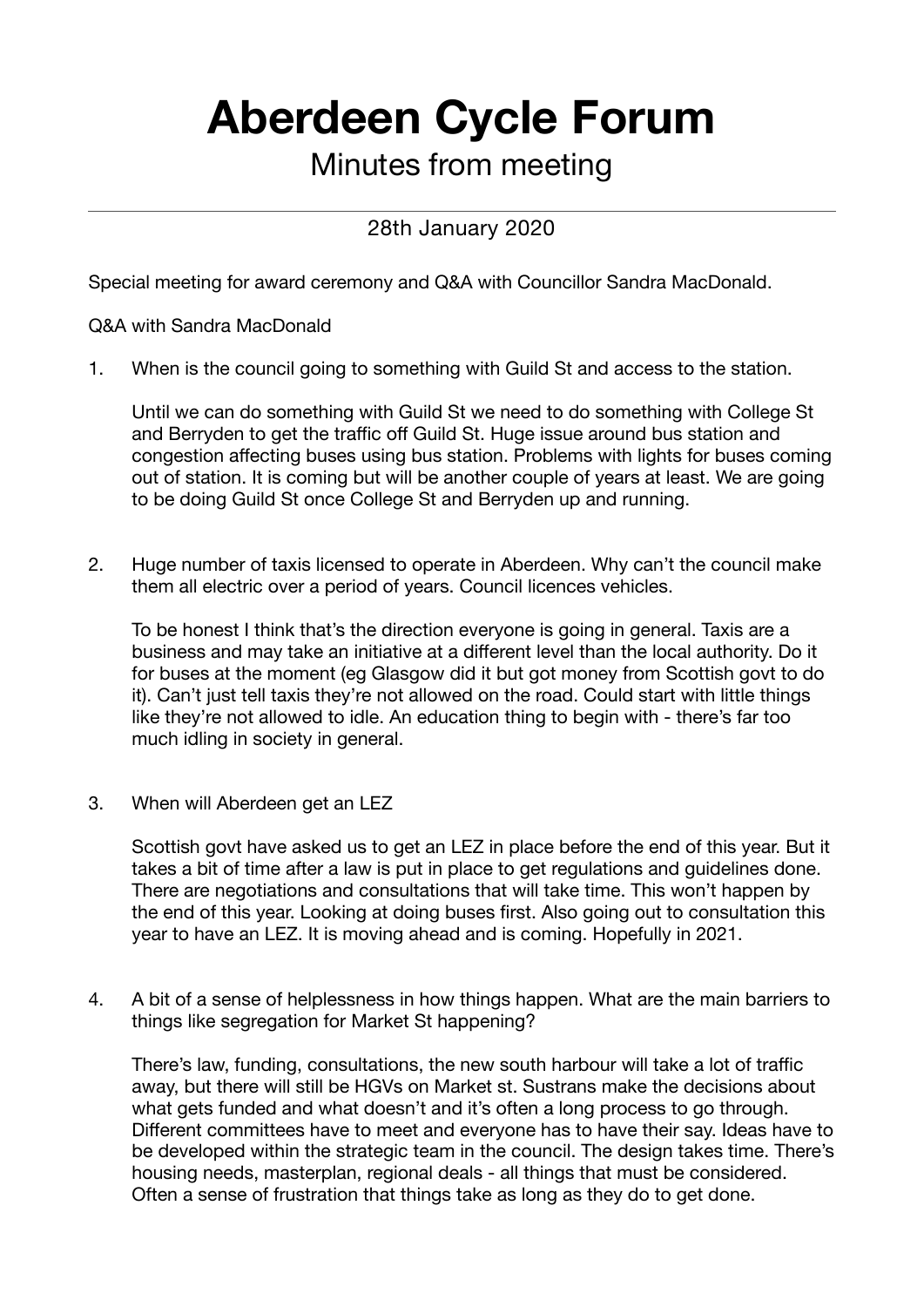## **Aberdeen Cycle Forum**

## Minutes from meeting

## 28th January 2020

Special meeting for award ceremony and Q&A with Councillor Sandra MacDonald.

Q&A with Sandra MacDonald

1. When is the council going to something with Guild St and access to the station.

Until we can do something with Guild St we need to do something with College St and Berryden to get the traffic off Guild St. Huge issue around bus station and congestion affecting buses using bus station. Problems with lights for buses coming out of station. It is coming but will be another couple of years at least. We are going to be doing Guild St once College St and Berryden up and running.

2. Huge number of taxis licensed to operate in Aberdeen. Why can't the council make them all electric over a period of years. Council licences vehicles.

To be honest I think that's the direction everyone is going in general. Taxis are a business and may take an initiative at a different level than the local authority. Do it for buses at the moment (eg Glasgow did it but got money from Scottish govt to do it). Can't just tell taxis they're not allowed on the road. Could start with little things like they're not allowed to idle. An education thing to begin with - there's far too much idling in society in general.

3. When will Aberdeen get an LEZ

Scottish govt have asked us to get an LEZ in place before the end of this year. But it takes a bit of time after a law is put in place to get regulations and guidelines done. There are negotiations and consultations that will take time. This won't happen by the end of this year. Looking at doing buses first. Also going out to consultation this year to have an LEZ. It is moving ahead and is coming. Hopefully in 2021.

4. A bit of a sense of helplessness in how things happen. What are the main barriers to things like segregation for Market St happening?

There's law, funding, consultations, the new south harbour will take a lot of traffic away, but there will still be HGVs on Market st. Sustrans make the decisions about what gets funded and what doesn't and it's often a long process to go through. Different committees have to meet and everyone has to have their say. Ideas have to be developed within the strategic team in the council. The design takes time. There's housing needs, masterplan, regional deals - all things that must be considered. Often a sense of frustration that things take as long as they do to get done.